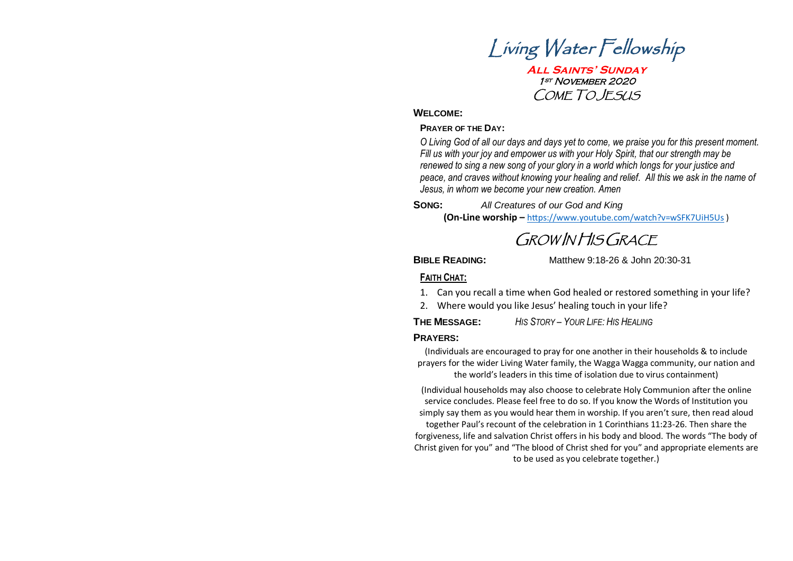

**All Saints' Sunday** 1st November 2020 COME TO JESUS

#### **WELCOME:**

#### **PRAYER OF THE DAY:**

*O Living God of all our days and days yet to come, we praise you for this present moment. Fill us with your joy and empower us with your Holy Spirit, that our strength may be renewed to sing a new song of your glory in a world which longs for your justice and peace, and craves without knowing your healing and relief. All this we ask in the name of Jesus, in whom we become your new creation. Amen*

# **SONG:** *All Creatures of our God and King*

**(On-Line worship –** <https://www.youtube.com/watch?v=wSFK7UiH5Us> )

# GROW IN HIS GRACE

**BIBLE READING:** Matthew 9:18-26 & John 20:30-31

### **FAITH CHAT:**

- 1. Can you recall a time when God healed or restored something in your life?
- 2. Where would you like Jesus' healing touch in your life?

**THE MESSAGE:** *HIS STORY – YOUR LIFE: HIS HEALING*

#### **PRAYERS:**

(Individuals are encouraged to pray for one another in their households & to include prayers for the wider Living Water family, the Wagga Wagga community, our nation and the world's leaders in this time of isolation due to virus containment)

(Individual households may also choose to celebrate Holy Communion after the online service concludes. Please feel free to do so. If you know the Words of Institution you simply say them as you would hear them in worship. If you aren't sure, then read aloud together Paul's recount of the celebration in 1 Corinthians 11:23-26. Then share the forgiveness, life and salvation Christ offers in his body and blood. The words "The body of Christ given for you" and "The blood of Christ shed for you" and appropriate elements are to be used as you celebrate together.)